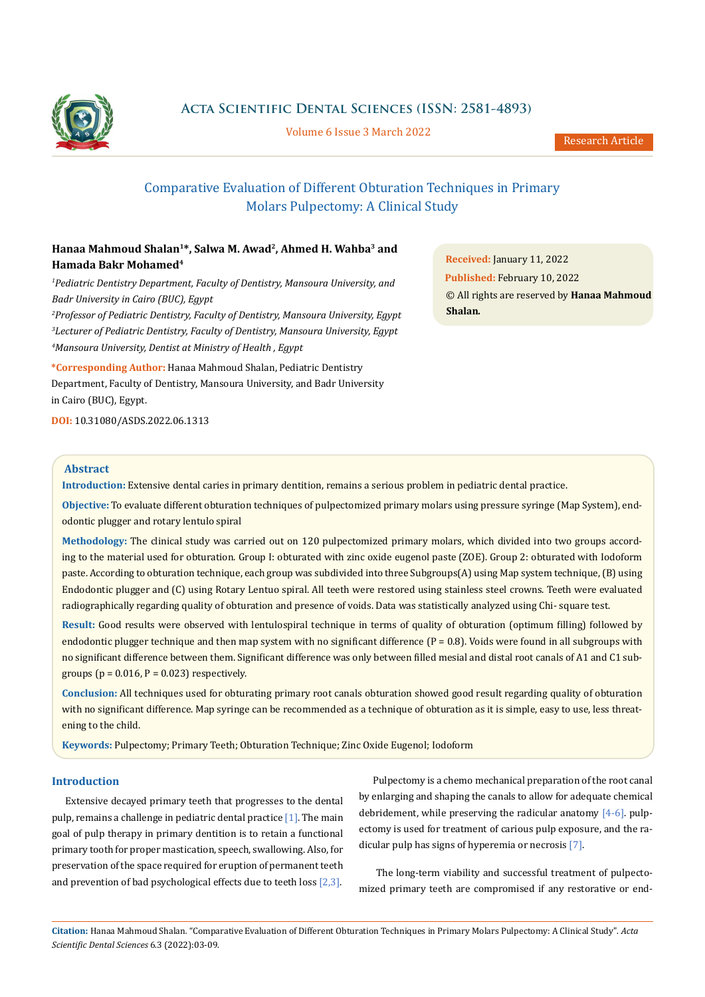

# **Acta Scientific Dental Sciences (ISSN: 2581-4893)**

Volume 6 Issue 3 March 2022

# Comparative Evaluation of Different Obturation Techniques in Primary Molars Pulpectomy: A Clinical Study

# **Hanaa Mahmoud Shalan1\*, Salwa M. Awad2, Ahmed H. Wahba3 and Hamada Bakr Mohamed4**

*1 Pediatric Dentistry Department, Faculty of Dentistry, Mansoura University, and Badr University in Cairo (BUC), Egypt*

*2 Professor of Pediatric Dentistry, Faculty of Dentistry, Mansoura University, Egypt 3 Lecturer of Pediatric Dentistry, Faculty of Dentistry, Mansoura University, Egypt 4 Mansoura University, Dentist at Ministry of Health , Egypt*

**\*Corresponding Author:** Hanaa Mahmoud Shalan, Pediatric Dentistry Department, Faculty of Dentistry, Mansoura University, and Badr University in Cairo (BUC), Egypt.

**DOI:** [10.31080/ASDS.2022.06.1313](https://actascientific.com/ASDS/pdf/ASDS-06-1313.pdf)

# **Abstract**

**Introduction:** Extensive dental caries in primary dentition, remains a serious problem in pediatric dental practice.

**Objective:** To evaluate different obturation techniques of pulpectomized primary molars using pressure syringe (Map System), endodontic plugger and rotary lentulo spiral

**Methodology:** The clinical study was carried out on 120 pulpectomized primary molars, which divided into two groups according to the material used for obturation. Group I: obturated with zinc oxide eugenol paste (ZOE). Group 2: obturated with Iodoform paste. According to obturation technique, each group was subdivided into three Subgroups(A) using Map system technique, (B) using Endodontic plugger and (C) using Rotary Lentuo spiral. All teeth were restored using stainless steel crowns. Teeth were evaluated radiographically regarding quality of obturation and presence of voids. Data was statistically analyzed using Chi- square test.

**Result:** Good results were observed with lentulospiral technique in terms of quality of obturation (optimum filling) followed by endodontic plugger technique and then map system with no significant difference  $(P = 0.8)$ . Voids were found in all subgroups with no significant difference between them. Significant difference was only between filled mesial and distal root canals of A1 and C1 subgroups ( $p = 0.016$ ,  $P = 0.023$ ) respectively.

**Conclusion:** All techniques used for obturating primary root canals obturation showed good result regarding quality of obturation with no significant difference. Map syringe can be recommended as a technique of obturation as it is simple, easy to use, less threatening to the child.

**Keywords:** Pulpectomy; Primary Teeth; Obturation Technique; Zinc Oxide Eugenol; Iodoform

# **Introduction**

Extensive decayed primary teeth that progresses to the dental pulp, remains a challenge in pediatric dental practice  $[1]$ . The main goal of pulp therapy in primary dentition is to retain a functional primary tooth for proper mastication, speech, swallowing. Also, for preservation of the space required for eruption of permanent teeth and prevention of bad psychological effects due to teeth loss [2,3].

Pulpectomy is a chemo mechanical preparation of the root canal by enlarging and shaping the canals to allow for adequate chemical debridement, while preserving the radicular anatomy  $[4-6]$ . pulpectomy is used for treatment of carious pulp exposure, and the radicular pulp has signs of hyperemia or necrosis [7].

 The long-term viability and successful treatment of pulpectomized primary teeth are compromised if any restorative or end-

**Citation:** Hanaa Mahmoud Shalan*.* "Comparative Evaluation of Different Obturation Techniques in Primary Molars Pulpectomy: A Clinical Study". *Acta Scientific Dental Sciences* 6.3 (2022):03-09.

**Received:** January 11, 2022 **Published:** February 10, 2022 © All rights are reserved by **Hanaa Mahmoud Shalan***.*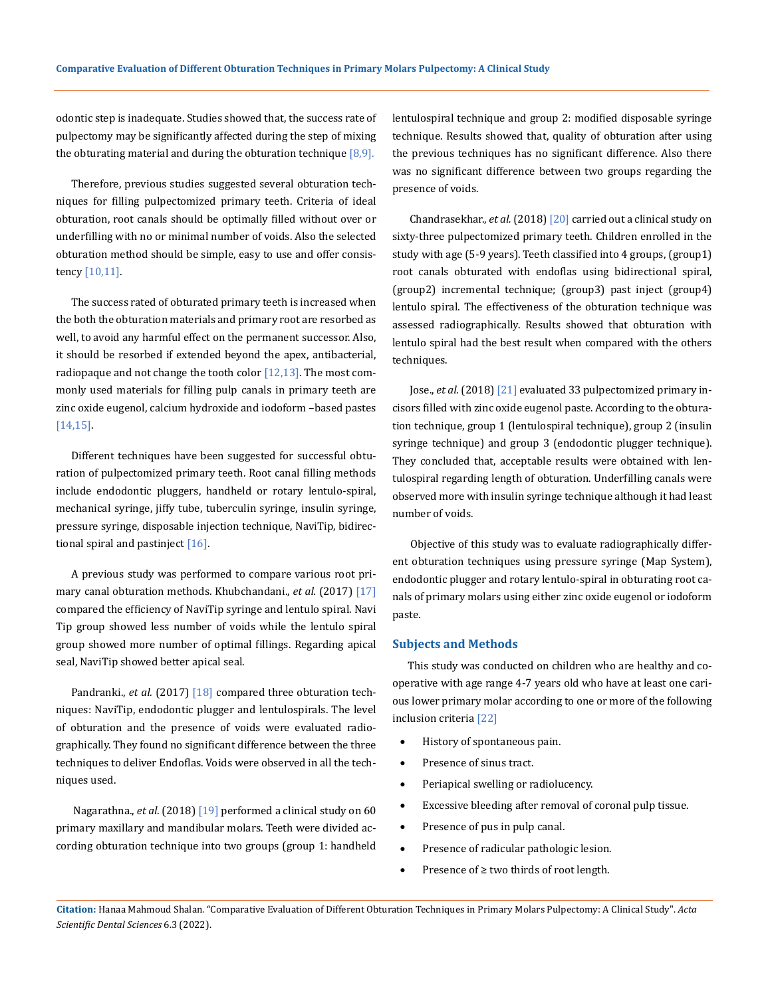odontic step is inadequate. Studies showed that, the success rate of pulpectomy may be significantly affected during the step of mixing the obturating material and during the obturation technique  $[8,9]$ .

Therefore, previous studies suggested several obturation techniques for filling pulpectomized primary teeth. Criteria of ideal obturation, root canals should be optimally filled without over or underfilling with no or minimal number of voids. Also the selected obturation method should be simple, easy to use and offer consistency [10,11].

The success rated of obturated primary teeth is increased when the both the obturation materials and primary root are resorbed as well, to avoid any harmful effect on the permanent successor. Also, it should be resorbed if extended beyond the apex, antibacterial, radiopaque and not change the tooth color  $[12,13]$ . The most commonly used materials for filling pulp canals in primary teeth are zinc oxide eugenol, calcium hydroxide and iodoform –based pastes [14,15].

Different techniques have been suggested for successful obturation of pulpectomized primary teeth. Root canal filling methods include endodontic pluggers, handheld or rotary lentulo-spiral, mechanical syringe, jiffy tube, tuberculin syringe, insulin syringe, pressure syringe, disposable injection technique, NaviTip, bidirectional spiral and pastinject [16].

A previous study was performed to compare various root primary canal obturation methods. Khubchandani., *et al.* (2017) [17] compared the efficiency of NaviTip syringe and lentulo spiral. Navi Tip group showed less number of voids while the lentulo spiral group showed more number of optimal fillings. Regarding apical seal, NaviTip showed better apical seal.

Pandranki., *et al.* (2017) [18] compared three obturation techniques: NaviTip, endodontic plugger and lentulospirals. The level of obturation and the presence of voids were evaluated radiographically. They found no significant difference between the three techniques to deliver Endoflas. Voids were observed in all the techniques used.

 Nagarathna., *et al.* (2018) [19] performed a clinical study on 60 primary maxillary and mandibular molars. Teeth were divided according obturation technique into two groups (group 1: handheld lentulospiral technique and group 2: modified disposable syringe technique. Results showed that, quality of obturation after using the previous techniques has no significant difference. Also there was no significant difference between two groups regarding the presence of voids.

 Chandrasekhar., *et al.* (2018) [20] carried out a clinical study on sixty-three pulpectomized primary teeth. Children enrolled in the study with age (5-9 years). Teeth classified into 4 groups, (group1) root canals obturated with endoflas using bidirectional spiral, (group2) incremental technique; (group3) past inject (group4) lentulo spiral. The effectiveness of the obturation technique was assessed radiographically. Results showed that obturation with lentulo spiral had the best result when compared with the others techniques.

 Jose., *et al.* (2018) [21] evaluated 33 pulpectomized primary incisors filled with zinc oxide eugenol paste. According to the obturation technique, group 1 (lentulospiral technique), group 2 (insulin syringe technique) and group 3 (endodontic plugger technique). They concluded that, acceptable results were obtained with lentulospiral regarding length of obturation. Underfilling canals were observed more with insulin syringe technique although it had least number of voids.

 Objective of this study was to evaluate radiographically different obturation techniques using pressure syringe (Map System), endodontic plugger and rotary lentulo-spiral in obturating root canals of primary molars using either zinc oxide eugenol or iodoform paste.

### **Subjects and Methods**

This study was conducted on children who are healthy and cooperative with age range 4-7 years old who have at least one carious lower primary molar according to one or more of the following inclusion criteria [22]

- • History of spontaneous pain.
- Presence of sinus tract.
- Periapical swelling or radiolucency.
- Excessive bleeding after removal of coronal pulp tissue.
- Presence of pus in pulp canal.
- • Presence of radicular pathologic lesion.
- • Presence of ≥ two thirds of root length.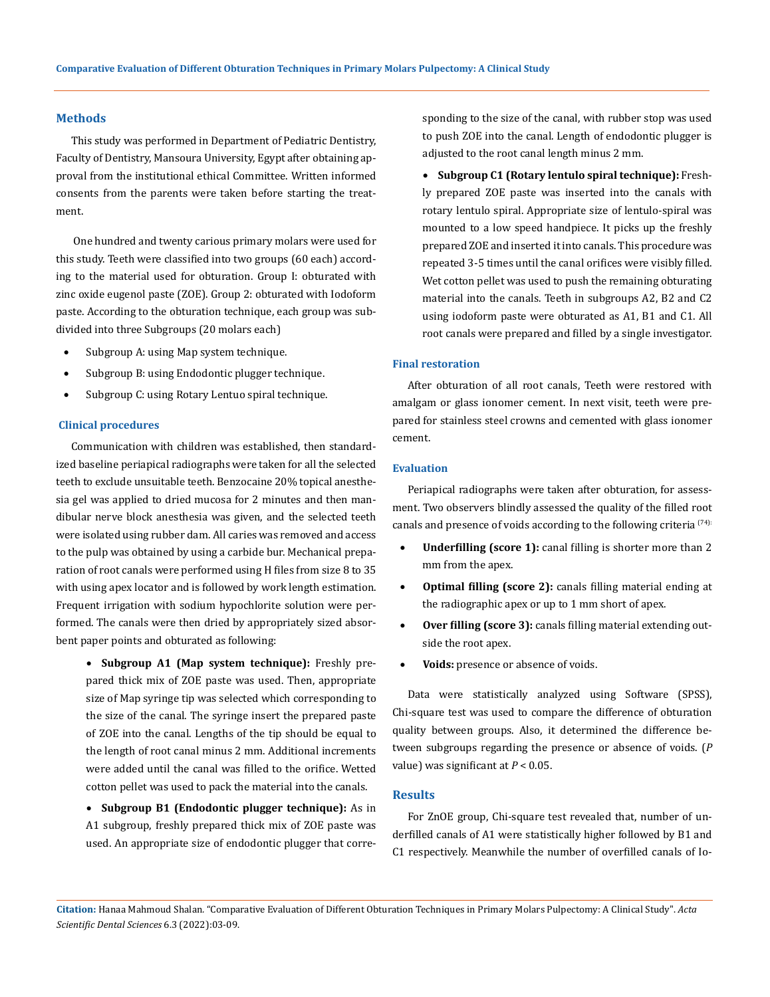#### **Methods**

This study was performed in Department of Pediatric Dentistry, Faculty of Dentistry, Mansoura University, Egypt after obtaining approval from the institutional ethical Committee. Written informed consents from the parents were taken before starting the treatment.

One hundred and twenty carious primary molars were used for this study. Teeth were classified into two groups (60 each) according to the material used for obturation. Group I: obturated with zinc oxide eugenol paste (ZOE). Group 2: obturated with Iodoform paste. According to the obturation technique, each group was subdivided into three Subgroups (20 molars each)

- Subgroup A: using Map system technique.
- Subgroup B: using Endodontic plugger technique.
- Subgroup C: using Rotary Lentuo spiral technique.

#### **Clinical procedures**

Communication with children was established, then standardized baseline periapical radiographs were taken for all the selected teeth to exclude unsuitable teeth. Benzocaine 20% topical anesthesia gel was applied to dried mucosa for 2 minutes and then mandibular nerve block anesthesia was given, and the selected teeth were isolated using rubber dam. All caries was removed and access to the pulp was obtained by using a carbide bur. Mechanical preparation of root canals were performed using H files from size 8 to 35 with using apex locator and is followed by work length estimation. Frequent irrigation with sodium hypochlorite solution were performed. The canals were then dried by appropriately sized absorbent paper points and obturated as following:

• **Subgroup A1 (Map system technique):** Freshly prepared thick mix of ZOE paste was used. Then, appropriate size of Map syringe tip was selected which corresponding to the size of the canal. The syringe insert the prepared paste of ZOE into the canal. Lengths of the tip should be equal to the length of root canal minus 2 mm. Additional increments were added until the canal was filled to the orifice. Wetted cotton pellet was used to pack the material into the canals.

• **Subgroup B1 (Endodontic plugger technique):** As in A1 subgroup, freshly prepared thick mix of ZOE paste was used. An appropriate size of endodontic plugger that corresponding to the size of the canal, with rubber stop was used to push ZOE into the canal. Length of endodontic plugger is adjusted to the root canal length minus 2 mm.

• **Subgroup C1 (Rotary lentulo spiral technique):** Freshly prepared ZOE paste was inserted into the canals with rotary lentulo spiral. Appropriate size of lentulo-spiral was mounted to a low speed handpiece. It picks up the freshly prepared ZOE and inserted it into canals. This procedure was repeated 3-5 times until the canal orifices were visibly filled. Wet cotton pellet was used to push the remaining obturating material into the canals. Teeth in subgroups A2, B2 and C2 using iodoform paste were obturated as A1, B1 and C1. All root canals were prepared and filled by a single investigator.

### **Final restoration**

After obturation of all root canals, Teeth were restored with amalgam or glass ionomer cement. In next visit, teeth were prepared for stainless steel crowns and cemented with glass ionomer cement.

#### **Evaluation**

Periapical radiographs were taken after obturation, for assessment. Two observers blindly assessed the quality of the filled root canals and presence of voids according to the following criteria  $(74)$ :

- **Underfilling (score 1):** canal filling is shorter more than 2 mm from the apex.
- **Optimal filling (score 2):** canals filling material ending at the radiographic apex or up to 1 mm short of apex.
- **Over filling (score 3):** canals filling material extending outside the root apex.
- Voids: presence or absence of voids.

Data were statistically analyzed using Software (SPSS), Chi-square test was used to compare the difference of obturation quality between groups. Also, it determined the difference between subgroups regarding the presence or absence of voids. (*P*  value) was significant at *P* < 0.05.

# **Results**

For ZnOE group, Chi-square test revealed that, number of underfilled canals of A1 were statistically higher followed by B1 and C1 respectively. Meanwhile the number of overfilled canals of Io-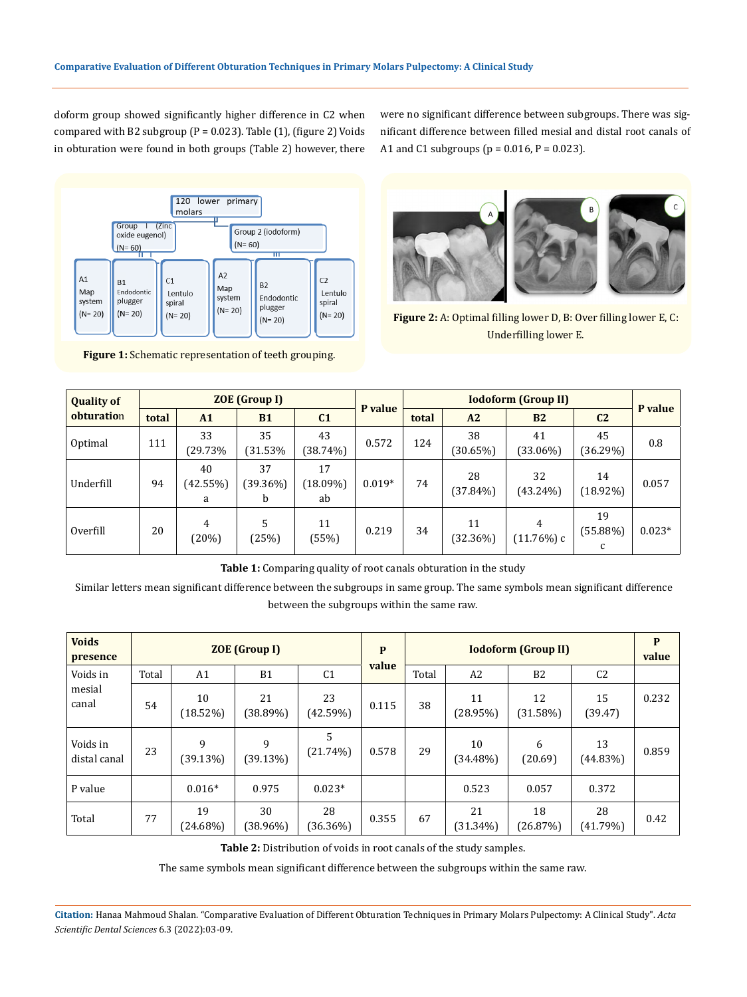doform group showed significantly higher difference in C2 when compared with B2 subgroup ( $P = 0.023$ ). Table (1), (figure 2) Voids in obturation were found in both groups (Table 2) however, there



**Figure 1:** Schematic representation of teeth grouping.

were no significant difference between subgroups. There was significant difference between filled mesial and distal root canals of A1 and C1 subgroups ( $p = 0.016$ ,  $P = 0.023$ ).



**Figure 2:** A: Optimal filling lower D, B: Over filling lower E, C: Underfilling lower E.

| <b>Quality of</b><br>obturation | <b>ZOE</b> (Group I) |                     |                        |                         |          | <b>Iodoform (Group II)</b> |                   |                   |                        |          |
|---------------------------------|----------------------|---------------------|------------------------|-------------------------|----------|----------------------------|-------------------|-------------------|------------------------|----------|
|                                 | total                | A1                  | <b>B1</b>              | C <sub>1</sub>          | P value  | total                      | A2                | <b>B2</b>         | C <sub>2</sub>         | P value  |
| Optimal                         | 111                  | 33<br>(29.73%       | 35<br>(31.53%          | 43<br>(38.74%)          | 0.572    | 124                        | 38<br>(30.65%)    | 41<br>$(33.06\%)$ | 45<br>(36.29%)         | 0.8      |
| Underfill                       | 94                   | 40<br>(42.55%)<br>a | 37<br>$(39.36\%)$<br>b | 17<br>$(18.09\%)$<br>ab | $0.019*$ | 74                         | 28<br>$(37.84\%)$ | 32<br>$(43.24\%)$ | 14<br>$(18.92\%)$      | 0.057    |
| Overfill                        | 20                   | 4<br>(20%)          | 5<br>(25%)             | 11<br>(55%)             | 0.219    | 34                         | 11<br>(32.36%)    | 4<br>$(11.76\%)c$ | 19<br>$(55.88\%)$<br>C | $0.023*$ |

**Table 1:** Comparing quality of root canals obturation in the study

 Similar letters mean significant difference between the subgroups in same group. The same symbols mean significant difference between the subgroups within the same raw.

| <b>Voids</b><br>presence    | <b>ZOE</b> (Group I) |                   |                   |                | P     | <b>Iodoform (Group II)</b> |                   |                |                   | P<br>value |
|-----------------------------|----------------------|-------------------|-------------------|----------------|-------|----------------------------|-------------------|----------------|-------------------|------------|
| Voids in<br>mesial<br>canal | Total                | A1                | <b>B1</b>         | C <sub>1</sub> | value | Total                      | A2                | B <sub>2</sub> | C <sub>2</sub>    |            |
|                             | 54                   | 10<br>(18.52%)    | 21<br>(38.89%)    | 23<br>(42.59%) | 0.115 | 38                         | 11<br>(28.95%)    | 12<br>(31.58%) | 15<br>(39.47)     | 0.232      |
| Voids in<br>distal canal    | 23                   | 9<br>(39.13%)     | 9<br>(39.13%)     | 5<br>(21.74%)  | 0.578 | 29                         | 10<br>$(34.48\%)$ | 6<br>(20.69)   | 13<br>$(44.83\%)$ | 0.859      |
| P value                     |                      | $0.016*$          | 0.975             | $0.023*$       |       |                            | 0.523             | 0.057          | 0.372             |            |
| Total                       | 77                   | 19<br>$(24.68\%)$ | 30<br>$(38.96\%)$ | 28<br>(36.36%) | 0.355 | 67                         | 21<br>$(31.34\%)$ | 18<br>(26.87%) | 28<br>$(41.79\%)$ | 0.42       |

**Table 2:** Distribution of voids in root canals of the study samples.

The same symbols mean significant difference between the subgroups within the same raw.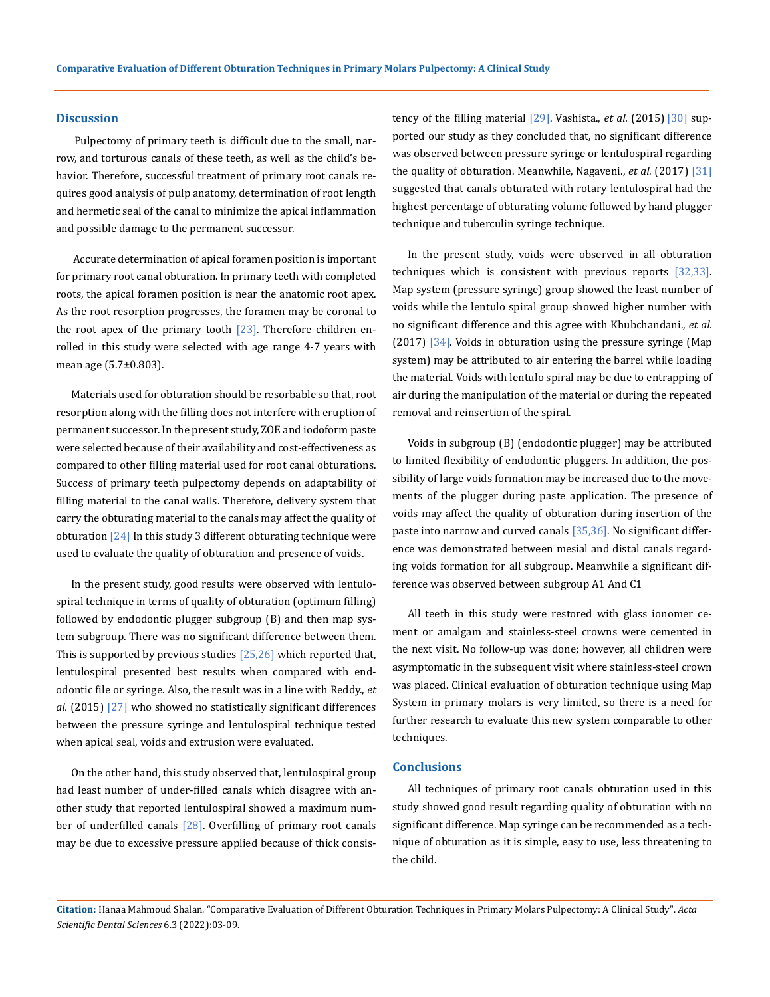#### **Discussion**

 Pulpectomy of primary teeth is difficult due to the small, narrow, and torturous canals of these teeth, as well as the child's behavior. Therefore, successful treatment of primary root canals requires good analysis of pulp anatomy, determination of root length and hermetic seal of the canal to minimize the apical inflammation and possible damage to the permanent successor.

 Accurate determination of apical foramen position is important for primary root canal obturation. In primary teeth with completed roots, the apical foramen position is near the anatomic root apex. As the root resorption progresses, the foramen may be coronal to the root apex of the primary tooth  $[23]$ . Therefore children enrolled in this study were selected with age range 4-7 years with mean age (5.7±0.803).

Materials used for obturation should be resorbable so that, root resorption along with the filling does not interfere with eruption of permanent successor. In the present study, ZOE and iodoform paste were selected because of their availability and cost-effectiveness as compared to other filling material used for root canal obturations. Success of primary teeth pulpectomy depends on adaptability of filling material to the canal walls. Therefore, delivery system that carry the obturating material to the canals may affect the quality of obturation  $[24]$  In this study 3 different obturating technique were used to evaluate the quality of obturation and presence of voids.

In the present study, good results were observed with lentulospiral technique in terms of quality of obturation (optimum filling) followed by endodontic plugger subgroup (B) and then map system subgroup. There was no significant difference between them. This is supported by previous studies [25,26] which reported that, lentulospiral presented best results when compared with endodontic file or syringe. Also, the result was in a line with Reddy., *et al.* (2015) [27] who showed no statistically significant differences between the pressure syringe and lentulospiral technique tested when apical seal, voids and extrusion were evaluated.

On the other hand, this study observed that, lentulospiral group had least number of under-filled canals which disagree with another study that reported lentulospiral showed a maximum number of underfilled canals [28]. Overfilling of primary root canals may be due to excessive pressure applied because of thick consistency of the filling material [29]. Vashista., *et al.* (2015)[30] supported our study as they concluded that, no significant difference was observed between pressure syringe or lentulospiral regarding the quality of obturation. Meanwhile, Nagaveni., *et al.* (2017) [31] suggested that canals obturated with rotary lentulospiral had the highest percentage of obturating volume followed by hand plugger technique and tuberculin syringe technique.

In the present study, voids were observed in all obturation techniques which is consistent with previous reports [32,33]. Map system (pressure syringe) group showed the least number of voids while the lentulo spiral group showed higher number with no significant difference and this agree with Khubchandani., *et al.* (2017)  $\left[34\right]$ . Voids in obturation using the pressure syringe (Map system) may be attributed to air entering the barrel while loading the material. Voids with lentulo spiral may be due to entrapping of air during the manipulation of the material or during the repeated removal and reinsertion of the spiral.

Voids in subgroup (B) (endodontic plugger) may be attributed to limited flexibility of endodontic pluggers. In addition, the possibility of large voids formation may be increased due to the movements of the plugger during paste application. The presence of voids may affect the quality of obturation during insertion of the paste into narrow and curved canals [35,36]. No significant difference was demonstrated between mesial and distal canals regarding voids formation for all subgroup. Meanwhile a significant difference was observed between subgroup A1 And C1

All teeth in this study were restored with glass ionomer cement or amalgam and stainless-steel crowns were cemented in the next visit. No follow-up was done; however, all children were asymptomatic in the subsequent visit where stainless-steel crown was placed. Clinical evaluation of obturation technique using Map System in primary molars is very limited, so there is a need for further research to evaluate this new system comparable to other techniques.

### **Conclusions**

All techniques of primary root canals obturation used in this study showed good result regarding quality of obturation with no significant difference. Map syringe can be recommended as a technique of obturation as it is simple, easy to use, less threatening to the child.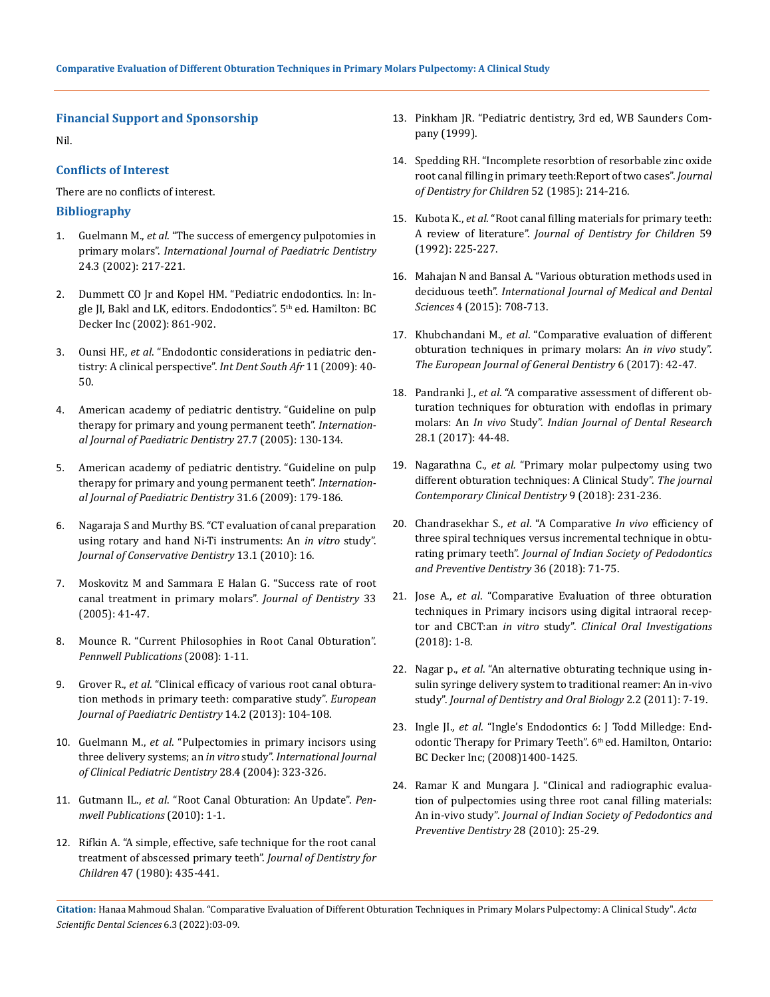### **Financial Support and Sponsorship**

Nil.

# **Conflicts of Interest**

There are no conflicts of interest.

# **Bibliography**

- 1. Guelmann M., *et al*[. "The success of emergency pulpotomies in](https://pubmed.ncbi.nlm.nih.gov/12064494/)  primary molars". *[International Journal of Paediatric Dentistry](https://pubmed.ncbi.nlm.nih.gov/12064494/)*  [24.3 \(2002\): 217-221.](https://pubmed.ncbi.nlm.nih.gov/12064494/)
- 2. Dummett CO Jr and Kopel HM. "Pediatric endodontics. In: Ingle JI, Bakl and LK, editors. Endodontics". 5th ed. Hamilton: BC Decker Inc (2002): 861-902.
- 3. Ounsi HF., *et al*[. "Endodontic considerations in pediatric den](http://www.moderndentistrymedia.com/mar_april2009/ounsi.pdf)[tistry: A clinical perspective".](http://www.moderndentistrymedia.com/mar_april2009/ounsi.pdf) *Int Dent South Afr* 11 (2009): 40- [50.](http://www.moderndentistrymedia.com/mar_april2009/ounsi.pdf)
- 4. [American academy of pediatric dentistry. "Guideline on pulp](https://pubmed.ncbi.nlm.nih.gov/19216417/)  [therapy for primary and young permanent teeth".](https://pubmed.ncbi.nlm.nih.gov/19216417/) *Internation[al Journal of Paediatric Dentistry](https://pubmed.ncbi.nlm.nih.gov/19216417/)* 27.7 (2005): 130-134.
- 5. [American academy of pediatric dentistry. "Guideline on pulp](https://www.aapd.org/media/Policies_Guidelines/BP_PulpTherapy.pdf)  [therapy for primary and young permanent teeth".](https://www.aapd.org/media/Policies_Guidelines/BP_PulpTherapy.pdf) *Internation[al Journal of Paediatric Dentistry](https://www.aapd.org/media/Policies_Guidelines/BP_PulpTherapy.pdf)* 31.6 (2009): 179-186.
- 6. [Nagaraja S and Murthy BS. "CT evaluation of canal preparation](https://pubmed.ncbi.nlm.nih.gov/20582214/)  [using rotary and hand Ni-Ti instruments: An](https://pubmed.ncbi.nlm.nih.gov/20582214/) *in vitro* study". *[Journal of Conservative Dentistry](https://pubmed.ncbi.nlm.nih.gov/20582214/)* 13.1 (2010): 16.
- 7. [Moskovitz M and Sammara E Halan G. "Success rate of root](https://pubmed.ncbi.nlm.nih.gov/15652167/)  [canal treatment in primary molars".](https://pubmed.ncbi.nlm.nih.gov/15652167/) *Journal of Dentistry* 33 [\(2005\): 41-47.](https://pubmed.ncbi.nlm.nih.gov/15652167/)
- 8. M[ounce R. "Current Philosophies in Root Canal Obturation".](https://dentalacademyofce.com/courses/1568/pdf/currentphilos.pdf)  *[Pennwell Publications](https://dentalacademyofce.com/courses/1568/pdf/currentphilos.pdf)* (2008): 1-11.
- 9. Grover R., *et al*[. "Clinical efficacy of various root canal obtura](https://pubmed.ncbi.nlm.nih.gov/23758458/)[tion methods in primary teeth: comparative study".](https://pubmed.ncbi.nlm.nih.gov/23758458/) *European [Journal of Paediatric Dentistry](https://pubmed.ncbi.nlm.nih.gov/23758458/)* 14.2 (2013): 104-108.
- 10. Guelmann M., *et al*[. "Pulpectomies in primary incisors using](https://pubmed.ncbi.nlm.nih.gov/15366621/)  [three delivery systems; an](https://pubmed.ncbi.nlm.nih.gov/15366621/) *in vitro* study". *International Journal [of Clinical Pediatric Dentistry](https://pubmed.ncbi.nlm.nih.gov/15366621/)* 28.4 (2004): 323-326.
- 11. Gutmann IL., *et al*[. "Root Canal Obturation: An Update".](https://cdeworld.com/ebooks/root-canal-obturation-an-update) *Pen[nwell Publications](https://cdeworld.com/ebooks/root-canal-obturation-an-update)* (2010): 1-1.
- 12. [Rifkin A. "A simple, effective, safe technique for the root canal](https://pubmed.ncbi.nlm.nih.gov/6934178/)  [treatment of abscessed primary teeth".](https://pubmed.ncbi.nlm.nih.gov/6934178/) *Journal of Dentistry for Children* [47 \(1980\): 435-441.](https://pubmed.ncbi.nlm.nih.gov/6934178/)
- 13. Pinkham JR. "Pediatric dentistry, 3rd ed, WB Saunders Company (1999).
- 14. [Spedding RH. "Incomplete resorbtion of resorbable zinc oxide](https://pubmed.ncbi.nlm.nih.gov/3859509/)  [root canal filling in primary teeth:Report of two cases".](https://pubmed.ncbi.nlm.nih.gov/3859509/) *Journal [of Dentistry for Children](https://pubmed.ncbi.nlm.nih.gov/3859509/)* 52 (1985): 214-216.
- 15. Kubota K., *et al*[. "Root canal filling materials for primary teeth:](https://pubmed.ncbi.nlm.nih.gov/1629445/)  A review of literature". *[Journal of Dentistry for Children](https://pubmed.ncbi.nlm.nih.gov/1629445/)* 59 [\(1992\): 225-227.](https://pubmed.ncbi.nlm.nih.gov/1629445/)
- 16. [Mahajan N and Bansal A. "Various obturation methods used in](https://www.informaticsjournals.com/index.php/ijmds/article/view/19798)  deciduous teeth". *[International Journal of Medical and Dental](https://www.informaticsjournals.com/index.php/ijmds/article/view/19798)  Sciences* [4 \(2015\): 708-713.](https://www.informaticsjournals.com/index.php/ijmds/article/view/19798)
- 17. Khubchandani M., *et al*[. "Comparative evaluation of different](https://pubmed.ncbi.nlm.nih.gov/31657988/)  [obturation techniques in primary molars: An](https://pubmed.ncbi.nlm.nih.gov/31657988/) *in vivo* study". *[The European Journal of General Dentistry](https://pubmed.ncbi.nlm.nih.gov/31657988/)* 6 (2017): 42-47.
- 18. Pandranki J., *et al*[. "A comparative assessment of different ob](https://pubmed.ncbi.nlm.nih.gov/28393816/)[turation techniques for obturation with endoflas in primary](https://pubmed.ncbi.nlm.nih.gov/28393816/)  molars: An *In vivo* Study". *[Indian Journal of Dental Research](https://pubmed.ncbi.nlm.nih.gov/28393816/)*  [28.1 \(2017\): 44-48.](https://pubmed.ncbi.nlm.nih.gov/28393816/)
- 19. Nagarathna C., *et al.* ["Primary molar pulpectomy using two](https://pubmed.ncbi.nlm.nih.gov/29875566/)  [different obturation techniques: A Clinical Study".](https://pubmed.ncbi.nlm.nih.gov/29875566/) *The journal [Contemporary Clinical Dentistry](https://pubmed.ncbi.nlm.nih.gov/29875566/)* 9 (2018): 231-236.
- 20. [Chandrasekhar S.,](https://pubmed.ncbi.nlm.nih.gov/29607843/) *et al*. "A Comparative *In vivo* efficiency of [three spiral techniques versus incremental technique in obtu](https://pubmed.ncbi.nlm.nih.gov/29607843/)rating primary teeth". *[Journal of Indian Society of Pedodontics](https://pubmed.ncbi.nlm.nih.gov/29607843/)  [and Preventive Dentistry](https://pubmed.ncbi.nlm.nih.gov/29607843/)* 36 (2018): 71-75.
- 21. Jose A., *et al*[. "Comparative Evaluation of three obturation](https://pubmed.ncbi.nlm.nih.gov/29744724/)  [techniques in Primary incisors using digital intraoral recep](https://pubmed.ncbi.nlm.nih.gov/29744724/)tor and CBCT:an *in vitro* study". *[Clinical Oral Investigations](https://pubmed.ncbi.nlm.nih.gov/29744724/)*  [\(2018\): 1-8.](https://pubmed.ncbi.nlm.nih.gov/29744724/)
- 22. Nagar p., *et al*[. "An alternative obturating technique using in](https://www.semanticscholar.org/paper/An-alternative-obturating-technique-using-insulin-Nagar-Araali/55603694ed3513d85934b015667a63bf1a8a216a)[sulin syringe delivery system to traditional reamer: An in-vivo](https://www.semanticscholar.org/paper/An-alternative-obturating-technique-using-insulin-Nagar-Araali/55603694ed3513d85934b015667a63bf1a8a216a)  study". *[Journal of Dentistry and Oral Biology](https://www.semanticscholar.org/paper/An-alternative-obturating-technique-using-insulin-Nagar-Araali/55603694ed3513d85934b015667a63bf1a8a216a)* 2.2 (2011): 7-19.
- 23. Ingle JI., *et al*[. "Ingle's Endodontics 6: J Todd Milledge: End](https://www.worldcat.org/title/ingles-endodontics-6/oclc/659488941)odontic Therapy for Primary Teeth". 6<sup>th</sup> ed. Hamilton, Ontario: [BC Decker Inc; \(2008\)1400-1425.](https://www.worldcat.org/title/ingles-endodontics-6/oclc/659488941)
- 24. [Ramar K and Mungara J. "Clinical and radiographic evalua](https://pubmed.ncbi.nlm.nih.gov/20215668/)[tion of pulpectomies using three root canal filling materials:](https://pubmed.ncbi.nlm.nih.gov/20215668/)  An in-vivo study". *[Journal of Indian Society of Pedodontics and](https://pubmed.ncbi.nlm.nih.gov/20215668/)  [Preventive Dentistry](https://pubmed.ncbi.nlm.nih.gov/20215668/)* 28 (2010): 25‑29.

**Citation:** Hanaa Mahmoud Shalan*.* "Comparative Evaluation of Different Obturation Techniques in Primary Molars Pulpectomy: A Clinical Study". *Acta Scientific Dental Sciences* 6.3 (2022):03-09.